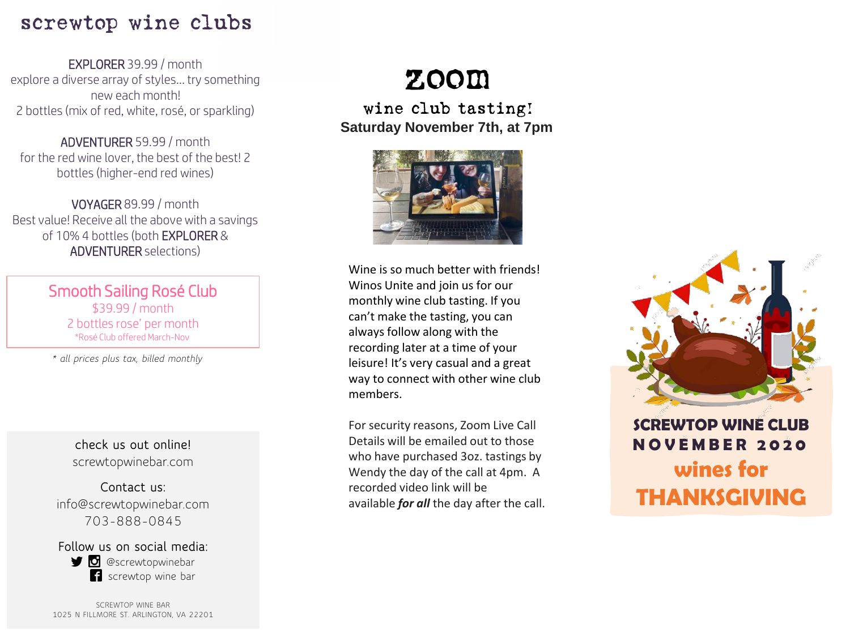### screwtop wine clubs

EXPLORER 39.99 / month explore a diverse array of styles… try something new each month! 2 bottles (mix of red, white, rosé, or sparkling)

ADVENTURER 59.99 / month for the red wine lover, the best of the best! 2 bottles (higher-end red wines)

VOYAGER 89.99 / month Best value! Receive all the above with a savings of 10% 4 bottles (both EXPLORER & ADVENTURER selections)

> Smooth Sailing Rosé Club \$39.99 / month 2 bottles rose' per month \*Rosé Club offered March-Nov

*\* all prices plus tax, billed monthly*

**check us out online!** screwtopwinebar.com

#### **Contact us:** info@screwtopwinebar.com 703-888-0845

**Follow us on social media: D** @screwtopwinebar **i** screwtop wine bar

SCREWTOP WINE BAR 1025 N FILLMORE ST. ARLINGTON, VA 22201

# zoom

wine club tasting! **Saturday November 7th, at 7pm**



Wine is so much better with friends! Winos Unite and join us for our monthly wine club tasting. If you can't make the tasting, you can always follow along with the recording later at a time of your leisure! It's very casual and a great way to connect with other wine club members.

For security reasons, Zoom Live Call Details will be emailed out to those who have purchased 3oz. tastings by Wendy the day of the call at 4pm. A recorded video link will be available *for all* the day after the call.



### SCREWTOP WINE CLUB N O V E M B E R 2 0 2 0 wines for THANKSGIVING